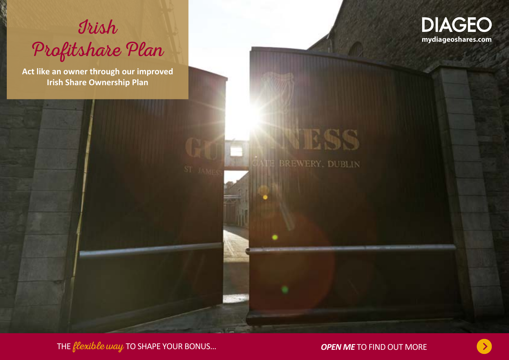

**Act like an owner through our improved Irish Share Ownership Plan**



**BREWERY, DUBLIN** 

THE flexible way TO SHAPE YOUR BONUS… *OPEN ME* TO FIND OUT MORE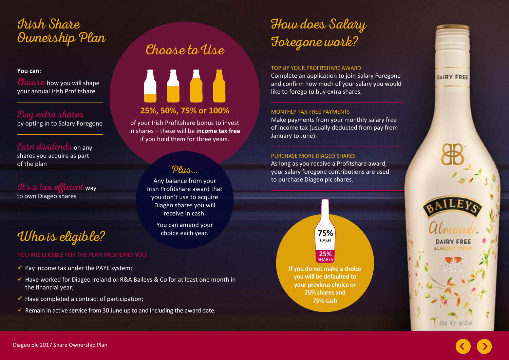# Irish Share Ownership Plan Choose to Use

### **You can:**

Choose how you will shape your annual Irish Profitshare

### Buy extra shares

by opting in to Salary Foregone

Earn dividends on any shares you acquire as part of the plan

It's a tax efficient way to own Diageo shares

# Who is eligible?

- $\checkmark$  Pay income tax under the PAYE system;
- $\checkmark$  Have worked for Diageo Ireland or R&A Baileys & Co for at least one month in the financial year;
- $\checkmark$  Have completed a contract of participation;
- $\checkmark$  Remain in active service from 30 June up to and including the award date.



of your Irish Profitshare bonus to invest in shares – these will be **income tax free** if you hold them for three years.

### Plus...

Any balance from your Irish Profitshare award that you don't use to acquire Diageo shares you will receive in cash.

> You can amend your choice each year.

## How does Salary Foregone work?

#### TOP UP YOUR PROFITSHARE AWARD

Complete an application to join Salary Foregone and confirm how much of your salary you would like to forego to buy extra shares.

### MONTHLY TAX-FREE PAYMENTS

Make payments from your monthly salary free of income tax (usually deducted from pay from January to June).

#### PURCHASE MORE DIAGEO SHARES

As long as you receive a Profitshare award, your salary foregone contributions are used to purchase Diageo plc shares.



**If you do not make a choice you will be defaulted to your previous choice or 25% shares and 75% cash**







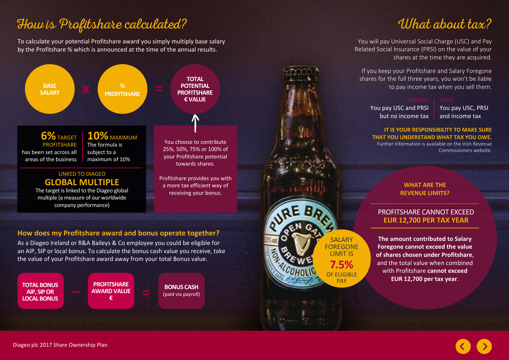## How is Profitshare calculated?

To calculate your potential Profitshare award you simply multiply base salary by the Profitshare % which is announced at the time of the annual results.



As a Diageo Ireland or R&A Baileys & Co employee you could be eligible for an AIP, SIP or local bonus. To calculate the bonus cash value you receive, take the value of your Profitshare award away from your total Bonus value.

**TOTAL BONUS AIP, SIP OR LOCAL BONUS**

**PROFITSHARE AWARD VALUE € –– PROFITSHARE BONUS CASH**<br> **E** (paid via payroll)

**BONUS CASH**

## What about tax?

You will pay Universal Social Charge (USC) and Pay Related Social Insurance (PRSI) on the value of your shares at the time they are acquired.

If you keep your Profitshare and Salary Foregone shares for the full three years, you won't be liable to pay income tax when you sell them.

You pay USC and PRSI but no income tax

**SALARY** FOREGONE LIMIT IS **7.5%** OF ELIGIBLE **PAY** 

You pay USC, PRSI and income tax

**IT IS YOUR RESPONSIBILITY TO MAKE SURE THAT YOU UNDERSTAND WHAT TAX YOU OWE.** 

Further information is available on the Irish Revenue Commissioners website.

### **WHAT ARE THE REVENUE LIMITS?**

### PROFITSHARE CANNOT EXCEED **EUR 12,700 PER TAX YEAR**

**The amount contributed to Salary Foregone cannot exceed the value of shares chosen under Profitshare**, and the total value when combined with Profitshare **cannot exceed EUR 12,700 per tax year**.